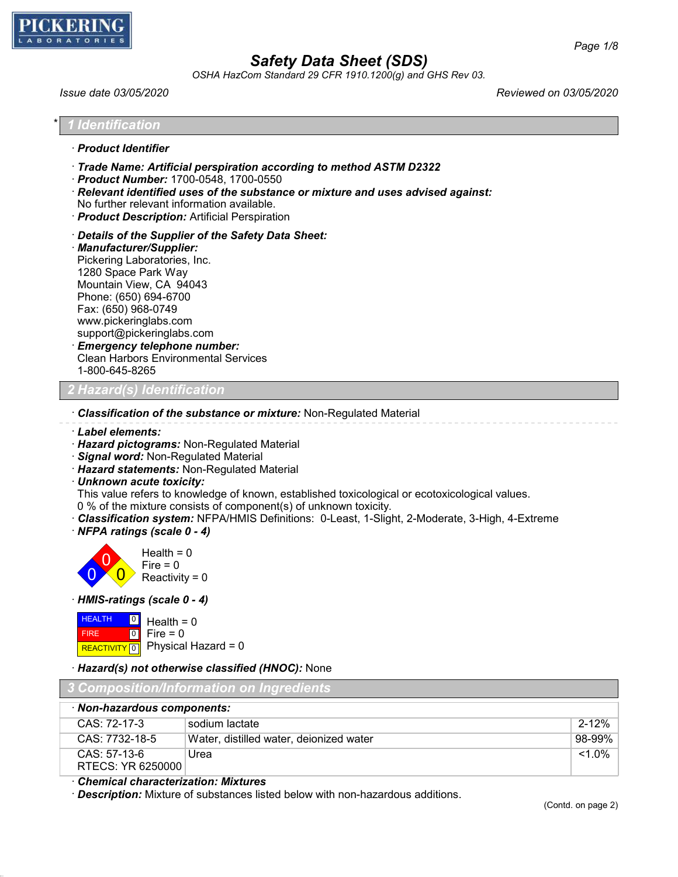

*OSHA HazCom Standard 29 CFR 1910.1200(g) and GHS Rev 03.*

*Issue date 03/05/2020 Reviewed on 03/05/2020*

| * 1 Identification   |
|----------------------|
| · Product Identifier |

- · *Trade Name: Artificial perspiration according to method ASTM D2322*
- · *Product Number:* 1700-0548, 1700-0550
- · *Relevant identified uses of the substance or mixture and uses advised against:* No further relevant information available.
- · *Product Description:* Artificial Perspiration
- · *Details of the Supplier of the Safety Data Sheet:*
- · *Manufacturer/Supplier:* Pickering Laboratories, Inc. 1280 Space Park Way Mountain View, CA 94043 Phone: (650) 694-6700 Fax: (650) 968-0749 www.pickeringlabs.com support@pickeringlabs.com · *Emergency telephone number:* Clean Harbors Environmental Services 1-800-645-8265

### *2 Hazard(s) Identification*

- · *Classification of the substance or mixture:* Non-Regulated Material
- · *Label elements:*
- · *Hazard pictograms:* Non-Regulated Material
- · *Signal word:* Non-Regulated Material
- · *Hazard statements:* Non-Regulated Material
- · *Unknown acute toxicity:*

This value refers to knowledge of known, established toxicological or ecotoxicological values.

- 0 % of the mixture consists of component(s) of unknown toxicity.
- · *Classification system:* NFPA/HMIS Definitions: 0-Least, 1-Slight, 2-Moderate, 3-High, 4-Extreme
- · *NFPA ratings (scale 0 4)*



· *HMIS-ratings (scale 0 - 4)*

| <b>HEALTH</b> | $\boxed{0}$ Health = 0 |
|---------------|------------------------|
| <b>FIRE</b>   | $ 0 $ Fire = 0         |
|               |                        |

#### · *Hazard(s) not otherwise classified (HNOC):* None

| 3 Composition/Information on Ingredients |                                         |           |
|------------------------------------------|-----------------------------------------|-----------|
| · Non-hazardous components:              |                                         |           |
| CAS: 72-17-3                             | sodium lactate                          | $2 - 12%$ |
| CAS: 7732-18-5                           | Water, distilled water, deionized water | 98-99%    |
| CAS: 57-13-6<br>RTECS: YR 6250000        | Urea                                    | $< 1.0\%$ |

### · *Chemical characterization: Mixtures*

· *Description:* Mixture of substances listed below with non-hazardous additions.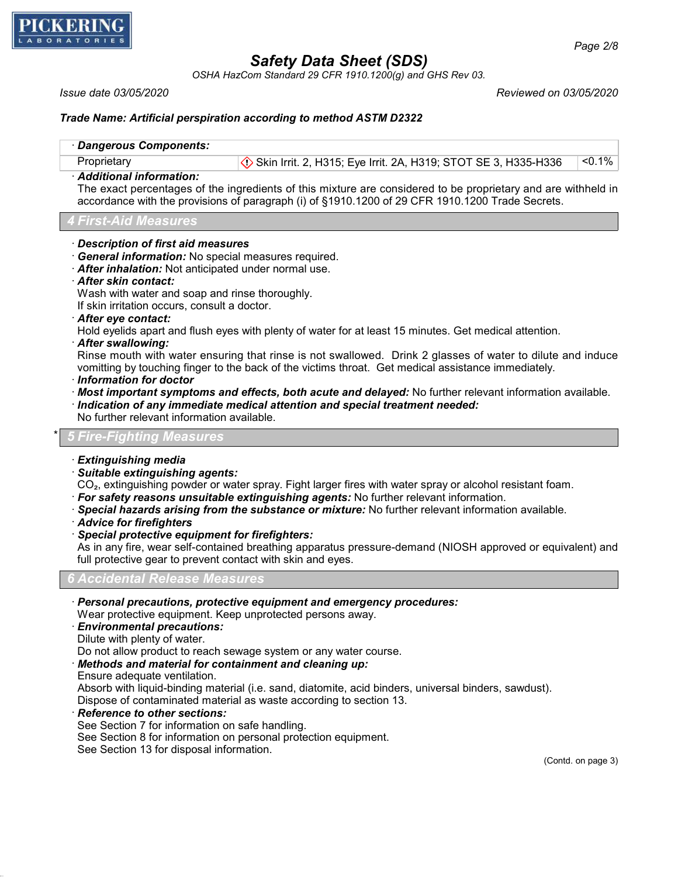

*OSHA HazCom Standard 29 CFR 1910.1200(g) and GHS Rev 03.*

*Issue date 03/05/2020 Reviewed on 03/05/2020*

### *Trade Name: Artificial perspiration according to method ASTM D2322*

| · Dangerous Components:                                                   |                                                                                                                                                                                                                   |        |
|---------------------------------------------------------------------------|-------------------------------------------------------------------------------------------------------------------------------------------------------------------------------------------------------------------|--------|
| Proprietary                                                               | Skin Irrit. 2, H315; Eye Irrit. 2A, H319; STOT SE 3, H335-H336                                                                                                                                                    | < 0.1% |
| · Additional information:                                                 | The exact percentages of the ingredients of this mixture are considered to be proprietary and are withheld in<br>accordance with the provisions of paragraph (i) of §1910.1200 of 29 CFR 1910.1200 Trade Secrets. |        |
| 4 First-Aid Measures                                                      |                                                                                                                                                                                                                   |        |
| · Description of first aid measures                                       | · General information: No special measures required.                                                                                                                                                              |        |
|                                                                           | After inhalation: Not anticipated under normal use.                                                                                                                                                               |        |
| · After skin contact:                                                     |                                                                                                                                                                                                                   |        |
|                                                                           | Wash with water and soap and rinse thoroughly.                                                                                                                                                                    |        |
| If skin irritation occurs, consult a doctor.<br>. $After this condition.$ |                                                                                                                                                                                                                   |        |

· *After eye contact:*

Hold eyelids apart and flush eyes with plenty of water for at least 15 minutes. Get medical attention.

· *After swallowing:*

Rinse mouth with water ensuring that rinse is not swallowed. Drink 2 glasses of water to dilute and induce vomitting by touching finger to the back of the victims throat. Get medical assistance immediately.

- · *Information for doctor*
- · *Most important symptoms and effects, both acute and delayed:* No further relevant information available.
- · *Indication of any immediate medical attention and special treatment needed:*
- No further relevant information available.

#### \* *5 Fire-Fighting Measures*

- · *Extinguishing media*
- · *Suitable extinguishing agents:*

CO₂, extinguishing powder or water spray. Fight larger fires with water spray or alcohol resistant foam.

- · *For safety reasons unsuitable extinguishing agents:* No further relevant information.
- · *Special hazards arising from the substance or mixture:* No further relevant information available.
- · *Advice for firefighters*
- · *Special protective equipment for firefighters:*

As in any fire, wear self-contained breathing apparatus pressure-demand (NIOSH approved or equivalent) and full protective gear to prevent contact with skin and eyes.

*6 Accidental Release Measures*

- · *Personal precautions, protective equipment and emergency procedures:* Wear protective equipment. Keep unprotected persons away.
- · *Environmental precautions:*
- Dilute with plenty of water.

Do not allow product to reach sewage system or any water course.

· *Methods and material for containment and cleaning up:*

Ensure adequate ventilation.

Absorb with liquid-binding material (i.e. sand, diatomite, acid binders, universal binders, sawdust).

Dispose of contaminated material as waste according to section 13.

· *Reference to other sections:*

See Section 7 for information on safe handling.

See Section 8 for information on personal protection equipment.

See Section 13 for disposal information.

(Contd. on page 3)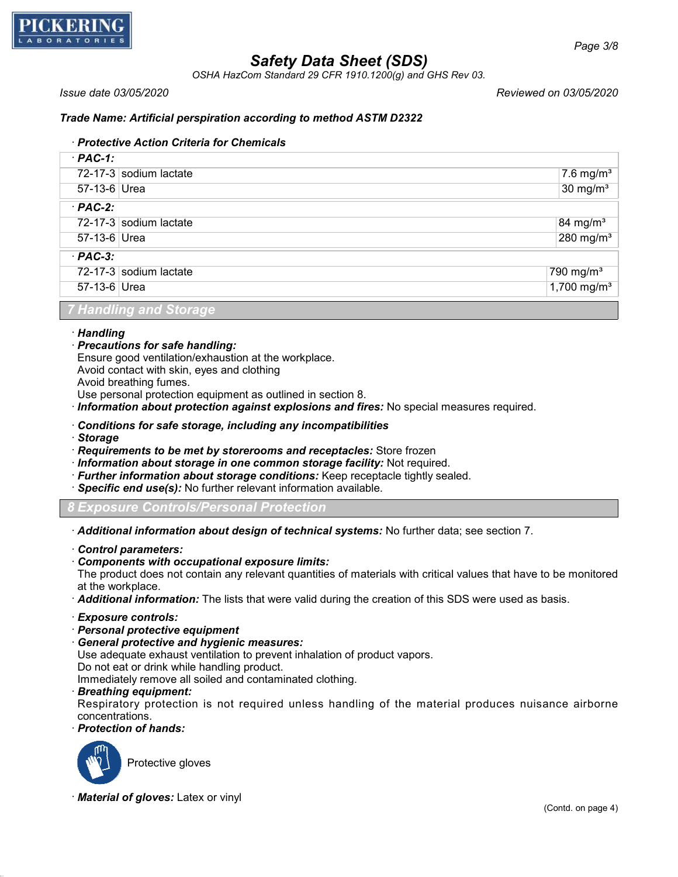

*OSHA HazCom Standard 29 CFR 1910.1200(g) and GHS Rev 03.*

*Issue date 03/05/2020 Reviewed on 03/05/2020*

### *Trade Name: Artificial perspiration according to method ASTM D2322*

### · *Protective Action Criteria for Chemicals*

| $·$ PAC-1:             |                        |                           |
|------------------------|------------------------|---------------------------|
|                        | 72-17-3 sodium lactate | $7.6$ mg/m <sup>3</sup>   |
| 57-13-6 Urea           |                        | $30 \text{ mg/m}^3$       |
| $·$ PAC-2:             |                        |                           |
|                        | 72-17-3 sodium lactate | 84 mg/m <sup>3</sup>      |
| 57-13-6 Urea           |                        | $280$ mg/m <sup>3</sup>   |
| $·$ PAC-3:             |                        |                           |
|                        | 72-17-3 sodium lactate | $790$ mg/m <sup>3</sup>   |
| 57-13-6 Urea           |                        | $1,700$ mg/m <sup>3</sup> |
| 7 Handling and Storage |                        |                           |

#### · *Handling*

#### · *Precautions for safe handling:*

Ensure good ventilation/exhaustion at the workplace.

Avoid contact with skin, eyes and clothing

Avoid breathing fumes.

Use personal protection equipment as outlined in section 8.

- · *Information about protection against explosions and fires:* No special measures required.
- · *Conditions for safe storage, including any incompatibilities*
- · *Storage*

· *Requirements to be met by storerooms and receptacles:* Store frozen

- · *Information about storage in one common storage facility:* Not required.
- · *Further information about storage conditions:* Keep receptacle tightly sealed.
- · *Specific end use(s):* No further relevant information available.

*8 Exposure Controls/Personal Protection*

· *Additional information about design of technical systems:* No further data; see section 7.

- · *Control parameters:*
- · *Components with occupational exposure limits:*

The product does not contain any relevant quantities of materials with critical values that have to be monitored at the workplace.

· *Additional information:* The lists that were valid during the creation of this SDS were used as basis.

- · *Exposure controls:*
- · *Personal protective equipment*
- · *General protective and hygienic measures:*

Use adequate exhaust ventilation to prevent inhalation of product vapors.

Do not eat or drink while handling product.

Immediately remove all soiled and contaminated clothing.

#### · *Breathing equipment:*

Respiratory protection is not required unless handling of the material produces nuisance airborne concentrations.

· *Protection of hands:*



· *Material of gloves:* Latex or vinyl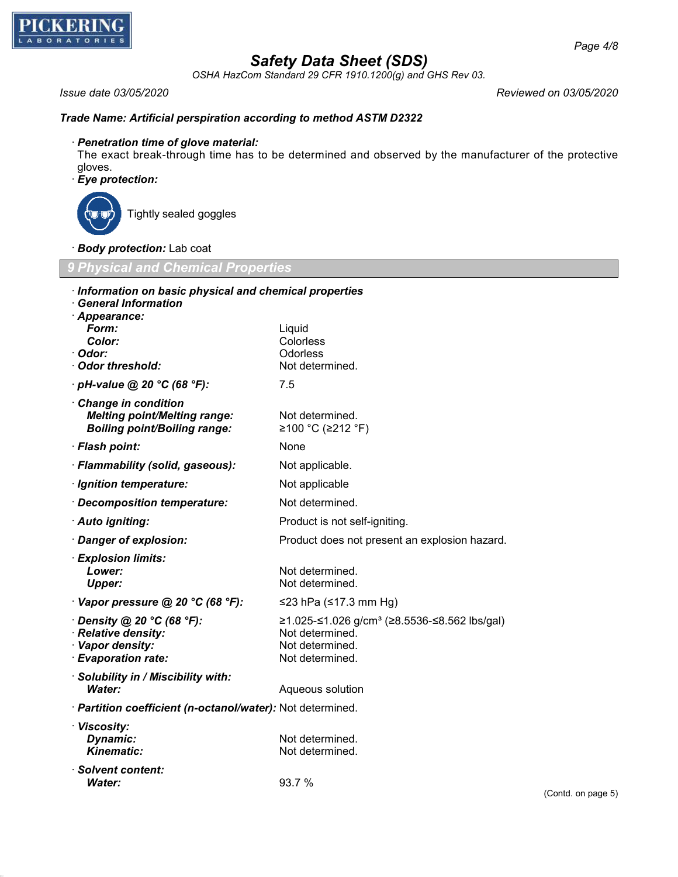

*OSHA HazCom Standard 29 CFR 1910.1200(g) and GHS Rev 03.*

*Issue date 03/05/2020 Reviewed on 03/05/2020*

### *Trade Name: Artificial perspiration according to method ASTM D2322*

### · *Penetration time of glove material:*

The exact break-through time has to be determined and observed by the manufacturer of the protective gloves.

## · *Eye protection:*



Tightly sealed goggles

· *Body protection:* Lab coat

*9 Physical and Chemical Properties*

| · Information on basic physical and chemical properties<br><b>General Information</b><br>· Appearance: |                                                                                                                         |
|--------------------------------------------------------------------------------------------------------|-------------------------------------------------------------------------------------------------------------------------|
| Form:<br>Color:<br>· Odor:<br>· Odor threshold:                                                        | Liquid<br>Colorless<br>Odorless<br>Not determined.                                                                      |
| $\cdot$ pH-value @ 20 °C (68 °F):                                                                      | 7.5                                                                                                                     |
| Change in condition<br><b>Melting point/Melting range:</b><br><b>Boiling point/Boiling range:</b>      | Not determined.<br>≥100 °C (≥212 °F)                                                                                    |
| · Flash point:                                                                                         | None                                                                                                                    |
| · Flammability (solid, gaseous):                                                                       | Not applicable.                                                                                                         |
| · Ignition temperature:                                                                                | Not applicable                                                                                                          |
| · Decomposition temperature:                                                                           | Not determined.                                                                                                         |
| · Auto igniting:                                                                                       | Product is not self-igniting.                                                                                           |
| · Danger of explosion:                                                                                 | Product does not present an explosion hazard.                                                                           |
| · Explosion limits:<br>Lower:<br><b>Upper:</b>                                                         | Not determined.<br>Not determined.                                                                                      |
| $\cdot$ Vapor pressure @ 20 °C (68 °F):                                                                | ≤23 hPa (≤17.3 mm Hg)                                                                                                   |
| $\cdot$ Density @ 20 °C (68 °F):<br>· Relative density:<br>· Vapor density:<br>· Evaporation rate:     | $\geq$ 1.025-≤1.026 g/cm <sup>3</sup> (≥8.5536-≤8.562 lbs/gal)<br>Not determined.<br>Not determined.<br>Not determined. |
| · Solubility in / Miscibility with:<br>Water:                                                          | Aqueous solution                                                                                                        |
| · Partition coefficient (n-octanol/water): Not determined.                                             |                                                                                                                         |
| · Viscosity:<br>Dynamic:<br><b>Kinematic:</b>                                                          | Not determined.<br>Not determined.                                                                                      |
| · Solvent content:<br>Water:                                                                           | 93.7 %                                                                                                                  |

(Contd. on page 5)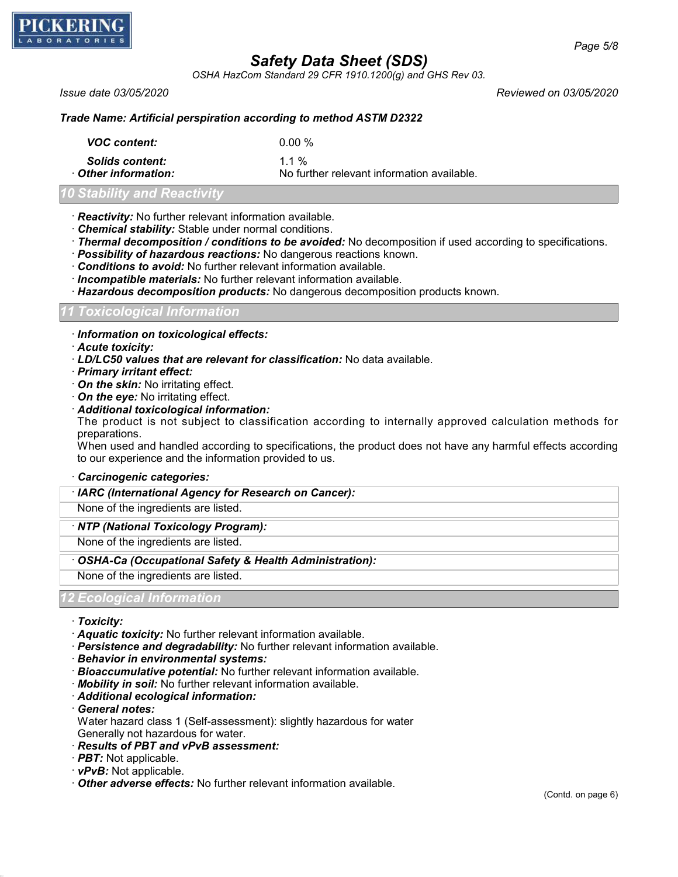

*OSHA HazCom Standard 29 CFR 1910.1200(g) and GHS Rev 03.*

*Issue date 03/05/2020 Reviewed on 03/05/2020*

### *Trade Name: Artificial perspiration according to method ASTM D2322*

| <b>VOC content:</b>        | 0.00 %                                     |
|----------------------------|--------------------------------------------|
| <b>Solids content:</b>     | 11%                                        |
| $\cdot$ Other information: | No further relevant information available. |

## *10 Stability and Reactivity*

### · *Reactivity:* No further relevant information available.

- · *Chemical stability:* Stable under normal conditions.
- · *Thermal decomposition / conditions to be avoided:* No decomposition if used according to specifications.
- · *Possibility of hazardous reactions:* No dangerous reactions known.
- · *Conditions to avoid:* No further relevant information available.
- · *Incompatible materials:* No further relevant information available.
- · *Hazardous decomposition products:* No dangerous decomposition products known.

#### *11 Toxicological Information*

- · *Information on toxicological effects:*
- · *Acute toxicity:*
- · *LD/LC50 values that are relevant for classification:* No data available.
- · *Primary irritant effect:*
- · *On the skin:* No irritating effect.
- · *On the eye:* No irritating effect.
- · *Additional toxicological information:*

The product is not subject to classification according to internally approved calculation methods for preparations.

When used and handled according to specifications, the product does not have any harmful effects according to our experience and the information provided to us.

· *Carcinogenic categories:*

## · *IARC (International Agency for Research on Cancer):*

None of the ingredients are listed.

#### · *NTP (National Toxicology Program):*

None of the ingredients are listed.

#### · *OSHA-Ca (Occupational Safety & Health Administration):*

None of the ingredients are listed.

### *. Ecological Informati*

- · *Toxicity:*
- · *Aquatic toxicity:* No further relevant information available.
- · *Persistence and degradability:* No further relevant information available.
- · *Behavior in environmental systems:*
- · *Bioaccumulative potential:* No further relevant information available.
- · *Mobility in soil:* No further relevant information available.
- · *Additional ecological information:*
- · *General notes:*

Water hazard class 1 (Self-assessment): slightly hazardous for water Generally not hazardous for water.

- · *Results of PBT and vPvB assessment:*
- · *PBT:* Not applicable.
- · *vPvB:* Not applicable.
- · *Other adverse effects:* No further relevant information available.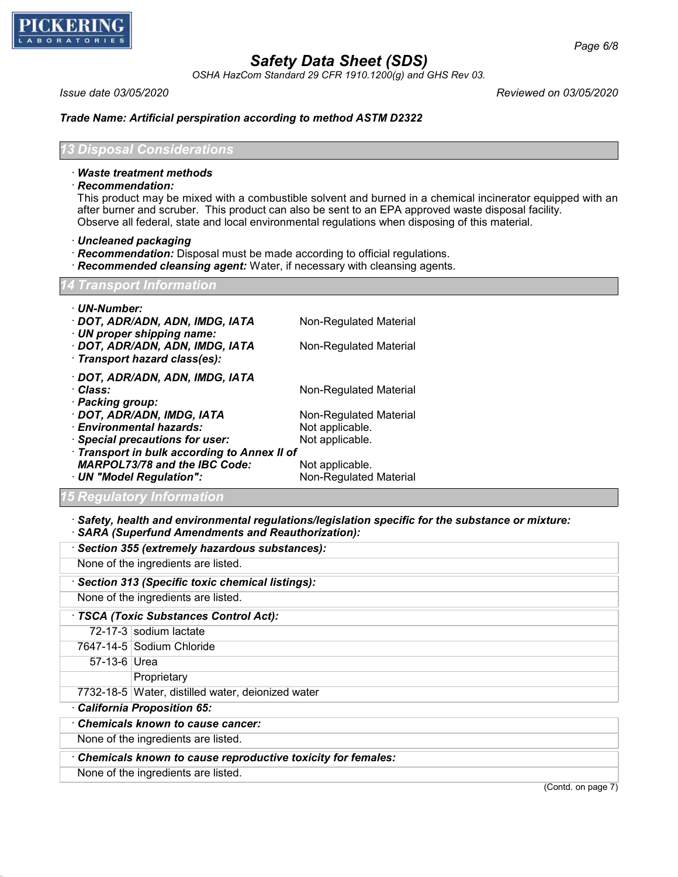

*OSHA HazCom Standard 29 CFR 1910.1200(g) and GHS Rev 03.*

*Issue date 03/05/2020 Reviewed on 03/05/2020*

### *Trade Name: Artificial perspiration according to method ASTM D2322*

*13 Disposal Considerations*

#### · *Waste treatment methods*

· *Recommendation:*

This product may be mixed with a combustible solvent and burned in a chemical incinerator equipped with an after burner and scruber. This product can also be sent to an EPA approved waste disposal facility. Observe all federal, state and local environmental regulations when disposing of this material.

- · *Uncleaned packaging*
- · *Recommendation:* Disposal must be made according to official regulations.
- · *Recommended cleansing agent:* Water, if necessary with cleansing agents.

### *Transport Information*

| · UN-Number:<br>· DOT, ADR/ADN, ADN, IMDG, IATA<br>$\cdot$ UN proper shipping name:<br>· DOT, ADR/ADN, ADN, IMDG, IATA<br>· Transport hazard class(es): | Non-Regulated Material<br>Non-Regulated Material |
|---------------------------------------------------------------------------------------------------------------------------------------------------------|--------------------------------------------------|
| · DOT, ADR/ADN, ADN, IMDG, IATA<br>· Class:<br>· Packing group:                                                                                         | Non-Regulated Material                           |
| · DOT, ADR/ADN, IMDG, IATA                                                                                                                              | Non-Regulated Material                           |
| · Environmental hazards:                                                                                                                                | Not applicable.                                  |
| · Special precautions for user:                                                                                                                         | Not applicable.                                  |
| Transport in bulk according to Annex II of                                                                                                              |                                                  |
| <b>MARPOL73/78 and the IBC Code:</b>                                                                                                                    | Not applicable.                                  |
| · UN "Model Regulation":                                                                                                                                | Non-Regulated Material                           |

### *15 Regulatory Information*

· *Safety, health and environmental regulations/legislation specific for the substance or mixture:*

## · *SARA (Superfund Amendments and Reauthorization):*

|                                                             | · Section 355 (extremely hazardous substances):   |  |  |
|-------------------------------------------------------------|---------------------------------------------------|--|--|
|                                                             | None of the ingredients are listed.               |  |  |
|                                                             | · Section 313 (Specific toxic chemical listings): |  |  |
|                                                             | None of the ingredients are listed.               |  |  |
| · TSCA (Toxic Substances Control Act):                      |                                                   |  |  |
|                                                             | 72-17-3 sodium lactate                            |  |  |
|                                                             | 7647-14-5 Sodium Chloride                         |  |  |
| 57-13-6 Urea                                                |                                                   |  |  |
|                                                             | Proprietary                                       |  |  |
|                                                             | 7732-18-5 Water, distilled water, deionized water |  |  |
| California Proposition 65:                                  |                                                   |  |  |
|                                                             | Chemicals known to cause cancer:                  |  |  |
| None of the ingredients are listed.                         |                                                   |  |  |
| Chemicals known to cause reproductive toxicity for females: |                                                   |  |  |
|                                                             | None of the ingredients are listed.               |  |  |

(Contd. on page 7)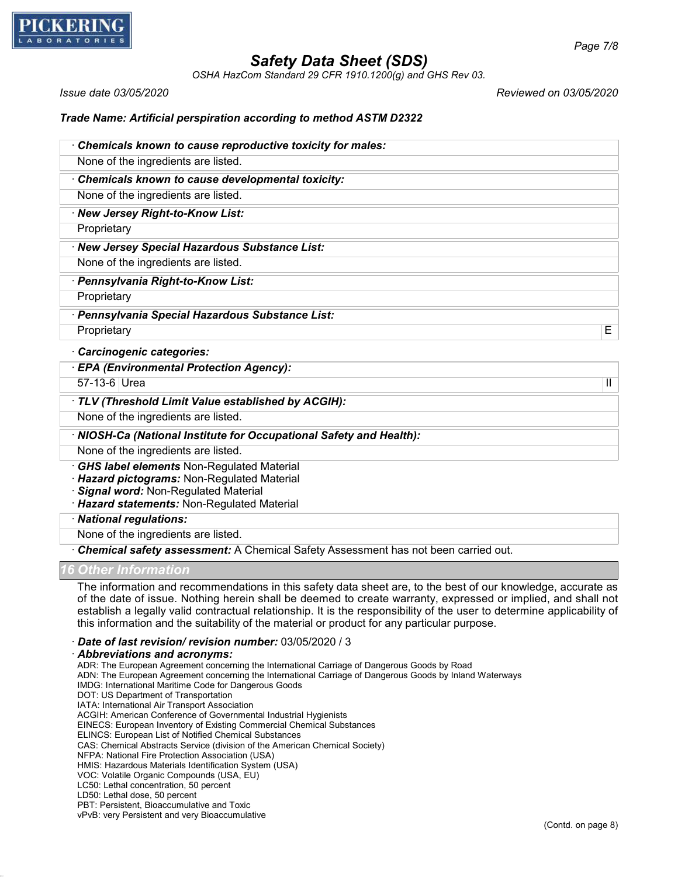

*OSHA HazCom Standard 29 CFR 1910.1200(g) and GHS Rev 03.*

*Issue date 03/05/2020 Reviewed on 03/05/2020*

#### *Trade Name: Artificial perspiration according to method ASTM D2322*

| Chemicals known to cause reproductive toxicity for males: |
|-----------------------------------------------------------|
| None of the ingredients are listed.                       |
| Chemicals known to cause developmental toxicity:          |
|                                                           |
| None of the ingredients are listed.                       |
| · New Jersey Right-to-Know List:                          |
| Proprietary                                               |
| · New Jersey Special Hazardous Substance List:            |
| None of the ingredients are listed.                       |
| · Pennsylvania Right-to-Know List:                        |
| Proprietary                                               |
| · Pennsylvania Special Hazardous Substance List:          |
| Е<br>Proprietary                                          |
| <b>Carcinogenic categories:</b>                           |
| <b>EPA (Environmental Protection Agency):</b>             |
| 57-13-6 Urea<br>Ш                                         |

### · *TLV (Threshold Limit Value established by ACGIH):*

None of the ingredients are listed.

· *NIOSH-Ca (National Institute for Occupational Safety and Health):*

None of the ingredients are listed.

· *GHS label elements* Non-Regulated Material

· *Hazard pictograms:* Non-Regulated Material

· *Signal word:* Non-Regulated Material

· *Hazard statements:* Non-Regulated Material

· *National regulations:*

None of the ingredients are listed.

· *Chemical safety assessment:* A Chemical Safety Assessment has not been carried out.

#### *16 Other Information*

The information and recommendations in this safety data sheet are, to the best of our knowledge, accurate as of the date of issue. Nothing herein shall be deemed to create warranty, expressed or implied, and shall not establish a legally valid contractual relationship. It is the responsibility of the user to determine applicability of this information and the suitability of the material or product for any particular purpose.

· *Date of last revision/ revision number:* 03/05/2020 / 3

· *Abbreviations and acronyms:*

ADR: The European Agreement concerning the International Carriage of Dangerous Goods by Road

ADN: The European Agreement concerning the International Carriage of Dangerous Goods by Inland Waterways

IMDG: International Maritime Code for Dangerous Goods

DOT: US Department of Transportation

IATA: International Air Transport Association

ACGIH: American Conference of Governmental Industrial Hygienists

EINECS: European Inventory of Existing Commercial Chemical Substances

ELINCS: European List of Notified Chemical Substances

CAS: Chemical Abstracts Service (division of the American Chemical Society)

NFPA: National Fire Protection Association (USA)

HMIS: Hazardous Materials Identification System (USA)

VOC: Volatile Organic Compounds (USA, EU) LC50: Lethal concentration, 50 percent

LD50: Lethal dose, 50 percent

PBT: Persistent, Bioaccumulative and Toxic

vPvB: very Persistent and very Bioaccumulative